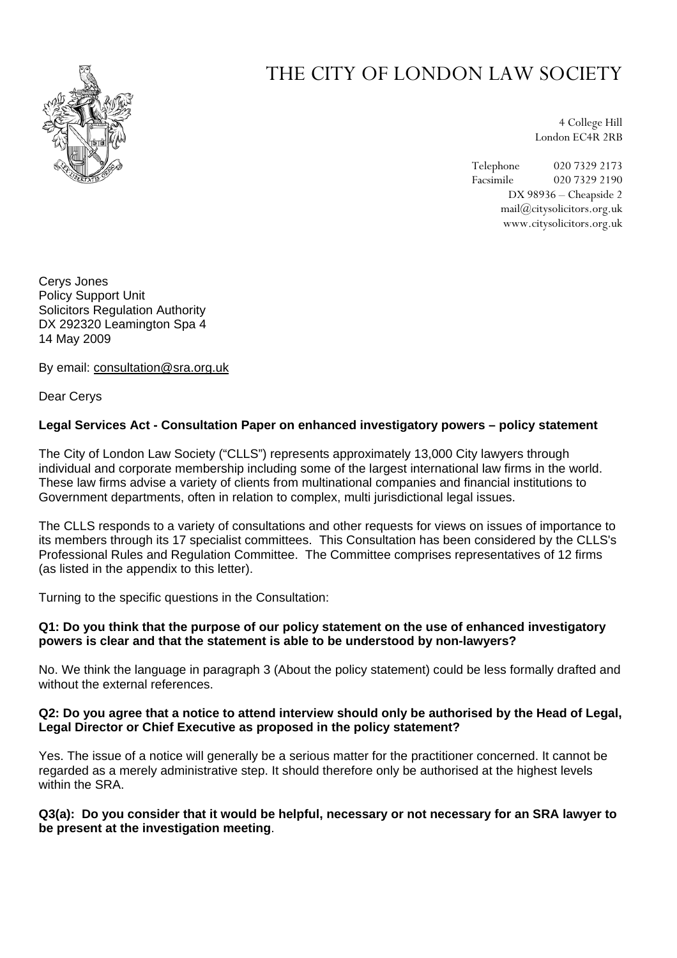

# THE CITY OF LONDON LAW SOCIETY

4 College Hill London EC4R 2RB

Telephone 020 7329 2173 Facsimile 020 7329 2190 DX 98936 – Cheapside 2 mail@citysolicitors.org.uk www.citysolicitors.org.uk

Cerys Jones Policy Support Unit Solicitors Regulation Authority DX 292320 Leamington Spa 4 14 May 2009

By email: [consultation@sra.org.uk](mailto:consultation@sra.org.uk?subject=Consultation%20on%20enhanced%20investigation%20powers)

Dear Cerys

# **Legal Services Act - Consultation Paper on enhanced investigatory powers – policy statement**

The City of London Law Society ("CLLS") represents approximately 13,000 City lawyers through individual and corporate membership including some of the largest international law firms in the world. These law firms advise a variety of clients from multinational companies and financial institutions to Government departments, often in relation to complex, multi jurisdictional legal issues.

The CLLS responds to a variety of consultations and other requests for views on issues of importance to its members through its 17 specialist committees. This Consultation has been considered by the CLLS's Professional Rules and Regulation Committee. The Committee comprises representatives of 12 firms (as listed in the appendix to this letter).

Turning to the specific questions in the Consultation:

#### **Q1: Do you think that the purpose of our policy statement on the use of enhanced investigatory powers is clear and that the statement is able to be understood by non-lawyers?**

No. We think the language in paragraph 3 (About the policy statement) could be less formally drafted and without the external references.

## **Q2: Do you agree that a notice to attend interview should only be authorised by the Head of Legal, Legal Director or Chief Executive as proposed in the policy statement?**

Yes. The issue of a notice will generally be a serious matter for the practitioner concerned. It cannot be regarded as a merely administrative step. It should therefore only be authorised at the highest levels within the SRA

## **Q3(a): Do you consider that it would be helpful, necessary or not necessary for an SRA lawyer to be present at the investigation meeting**.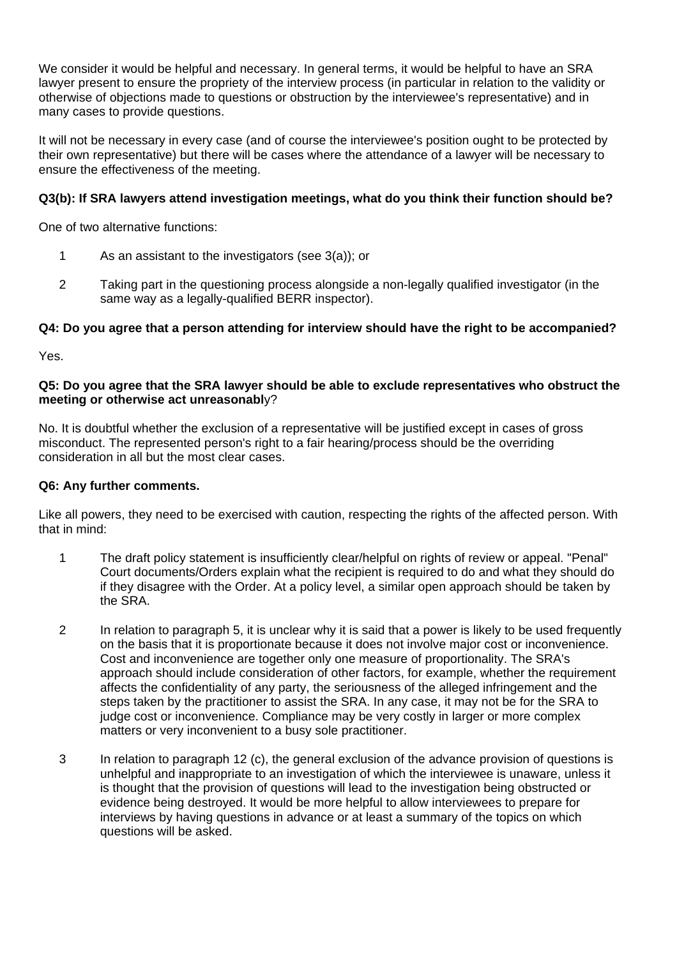We consider it would be helpful and necessary. In general terms, it would be helpful to have an SRA lawyer present to ensure the propriety of the interview process (in particular in relation to the validity or otherwise of objections made to questions or obstruction by the interviewee's representative) and in many cases to provide questions.

It will not be necessary in every case (and of course the interviewee's position ought to be protected by their own representative) but there will be cases where the attendance of a lawyer will be necessary to ensure the effectiveness of the meeting.

# **Q3(b): If SRA lawyers attend investigation meetings, what do you think their function should be?**

One of two alternative functions:

- 1 As an assistant to the investigators (see 3(a)); or
- 2 Taking part in the questioning process alongside a non-legally qualified investigator (in the same way as a legally-qualified BERR inspector).

## **Q4: Do you agree that a person attending for interview should have the right to be accompanied?**

Yes.

#### **Q5: Do you agree that the SRA lawyer should be able to exclude representatives who obstruct the meeting or otherwise act unreasonabl**y?

No. It is doubtful whether the exclusion of a representative will be justified except in cases of gross misconduct. The represented person's right to a fair hearing/process should be the overriding consideration in all but the most clear cases.

## **Q6: Any further comments.**

Like all powers, they need to be exercised with caution, respecting the rights of the affected person. With that in mind:

- 1 The draft policy statement is insufficiently clear/helpful on rights of review or appeal. "Penal" Court documents/Orders explain what the recipient is required to do and what they should do if they disagree with the Order. At a policy level, a similar open approach should be taken by the SRA.
- 2 In relation to paragraph 5, it is unclear why it is said that a power is likely to be used frequently on the basis that it is proportionate because it does not involve major cost or inconvenience. Cost and inconvenience are together only one measure of proportionality. The SRA's approach should include consideration of other factors, for example, whether the requirement affects the confidentiality of any party, the seriousness of the alleged infringement and the steps taken by the practitioner to assist the SRA. In any case, it may not be for the SRA to judge cost or inconvenience. Compliance may be very costly in larger or more complex matters or very inconvenient to a busy sole practitioner.
- 3 In relation to paragraph 12 (c), the general exclusion of the advance provision of questions is unhelpful and inappropriate to an investigation of which the interviewee is unaware, unless it is thought that the provision of questions will lead to the investigation being obstructed or evidence being destroyed. It would be more helpful to allow interviewees to prepare for interviews by having questions in advance or at least a summary of the topics on which questions will be asked.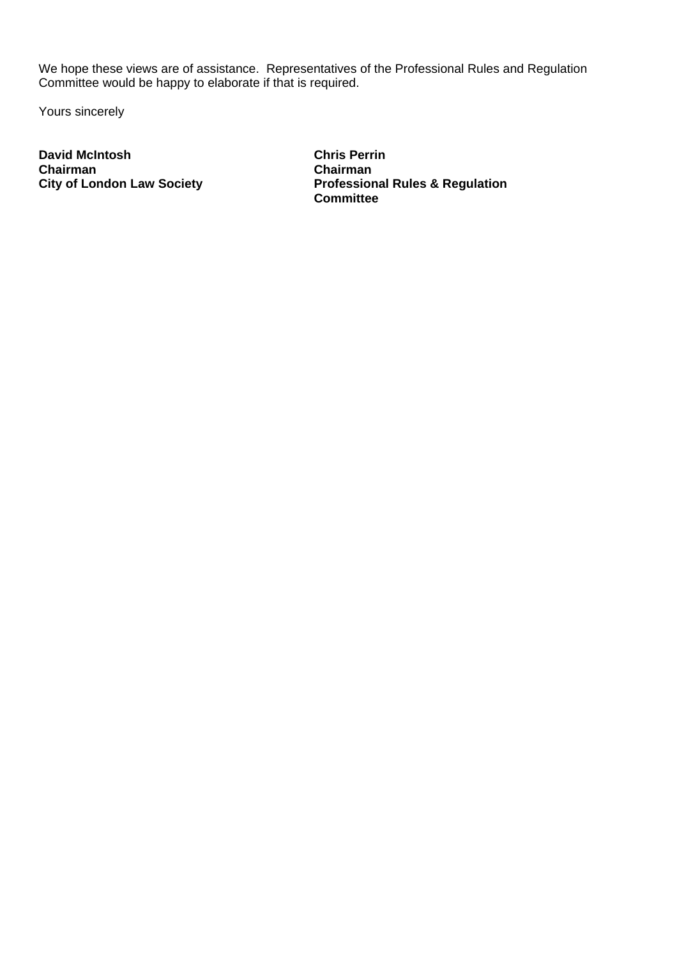We hope these views are of assistance. Representatives of the Professional Rules and Regulation Committee would be happy to elaborate if that is required.

Yours sincerely

**David McIntosh Chairman City of London Law Society** 

**Chris Perrin Chairman Professional Rules & Regulation Committee**